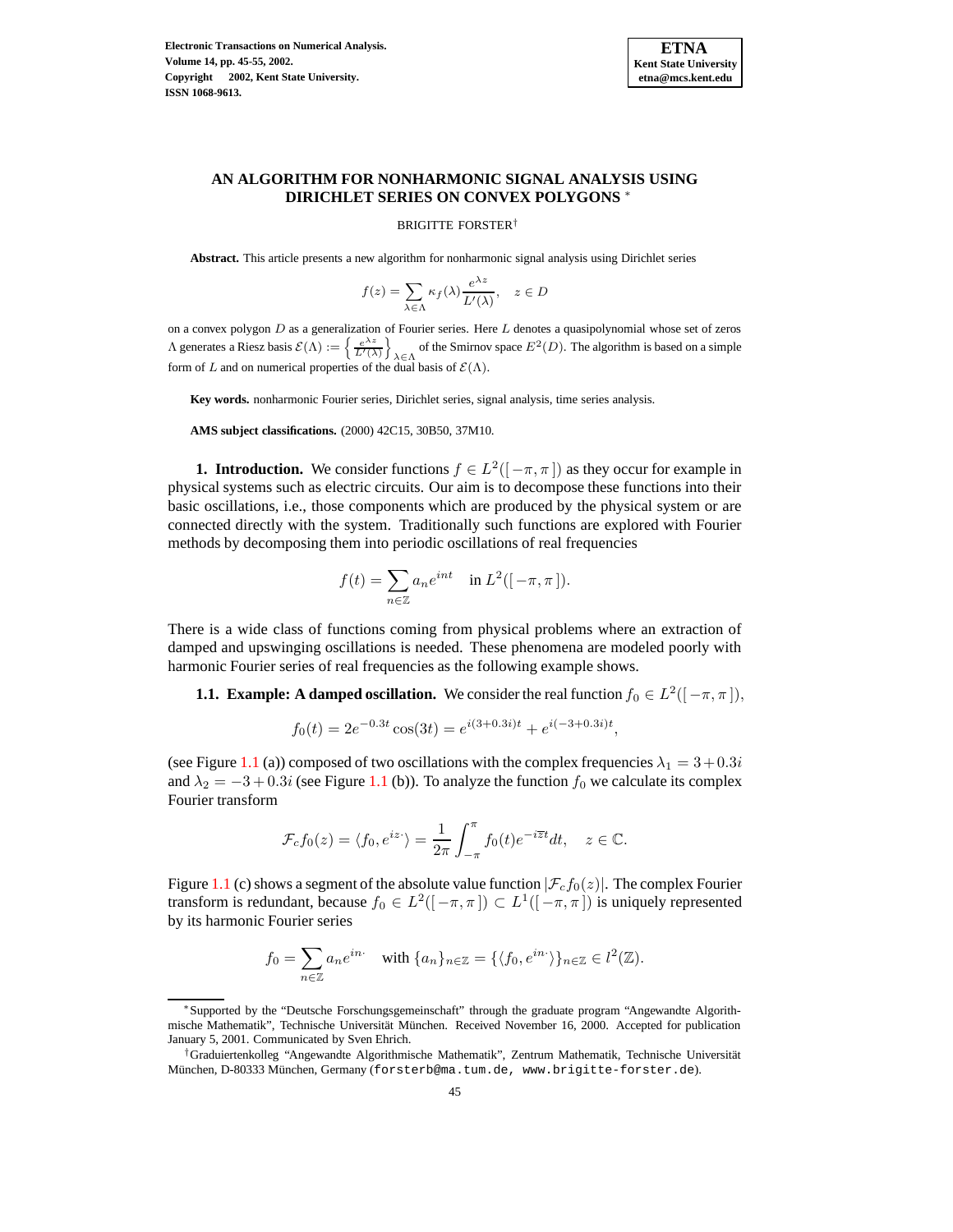

# **AN ALGORITHM FOR NONHARMONIC SIGNAL ANALYSIS USING DIRICHLET SERIES ON CONVEX POLYGONS** <sup>∗</sup>

#### BRIGITTE FORSTER†

**Abstract.** This article presents a new algorithm for nonharmonic signal analysis using Dirichlet series

$$
f(z) = \sum_{\lambda \in \Lambda} \kappa_f(\lambda) \frac{e^{\lambda z}}{L'(\lambda)}, \quad z \in D
$$

on a convex polygon  $D$  as a generalization of Fourier series. Here  $L$  denotes a quasipolynomial whose set of zeros  $\Lambda$  generates a Riesz basis  $\mathcal{E}(\Lambda) := \left\{ \frac{e^{\lambda z}}{L'(\lambda)} \right\}$ of the Smirnov space  $E^2(D)$ . The algorithm is based on a simple form of L and on numerical properties of the dual basis of  $\mathcal{E}(\Lambda)$ .

**Key words.** nonharmonic Fourier series, Dirichlet series, signal analysis, time series analysis.

**AMS subject classifications.** (2000) 42C15, 30B50, 37M10.

**1. Introduction.** We consider functions  $f \in L^2([-\pi,\pi])$  as they occur for example in physical systems such as electric circuits. Our aim is to decompose these functions into their basic oscillations, i.e., those components which are produced by the physical system or are connected directly with the system. Traditionally such functions are explored with Fourier methods by decomposing them into periodic oscillations of real frequencies

$$
f(t) = \sum_{n \in \mathbb{Z}} a_n e^{int} \quad \text{in } L^2([-\pi, \pi]).
$$

<span id="page-0-0"></span>There is a wide class of functions coming from physical problems where an extraction of damped and upswinging oscillations is needed. These phenomena are modeled poorly with harmonic Fourier series of real frequencies as the following example shows.

**1.1. Example:** A **damped oscillation.** We consider the real function  $f_0 \in L^2([-\pi,\pi])$ ,

$$
f_0(t) = 2e^{-0.3t} \cos(3t) = e^{i(3+0.3i)t} + e^{i(-3+0.3i)t},
$$

(see Figure [1.1](#page-9-0) (a)) composed of two oscillations with the complex frequencies  $\lambda_1 = 3 + 0.3i$ and  $\lambda_2 = -3 + 0.3i$  (see Figure [1.1](#page-9-0) (b)). To analyze the function  $f_0$  we calculate its complex Fourier transform

$$
\mathcal{F}_c f_0(z) = \langle f_0, e^{iz} \rangle = \frac{1}{2\pi} \int_{-\pi}^{\pi} f_0(t) e^{-i\overline{z}t} dt, \quad z \in \mathbb{C}.
$$

Figure [1.1](#page-9-0) (c) shows a segment of the absolute value function  $|\mathcal{F}_c f_0(z)|$ . The complex Fourier transform is redundant, because  $f_0 \in L^2([-\pi,\pi]) \subset L^1([-\pi,\pi])$  is uniquely represented by its harmonic Fourier series

$$
f_0 = \sum_{n \in \mathbb{Z}} a_n e^{in} \quad \text{with } \{a_n\}_{n \in \mathbb{Z}} = \{\langle f_0, e^{in} \rangle\}_{n \in \mathbb{Z}} \in l^2(\mathbb{Z}).
$$

<sup>∗</sup>Supported by the "Deutsche Forschungsgemeinschaft" through the graduate program "Angewandte Algorithmische Mathematik", Technische Universität München. Received November 16, 2000. Accepted for publication January 5, 2001. Communicated by Sven Ehrich.

<sup>†</sup>Graduiertenkolleg "Angewandte Algorithmische Mathematik", Zentrum Mathematik, Technische Universitat¨ München, D-80333 München, Germany (forsterb@ma.tum.de, www.brigitte-forster.de).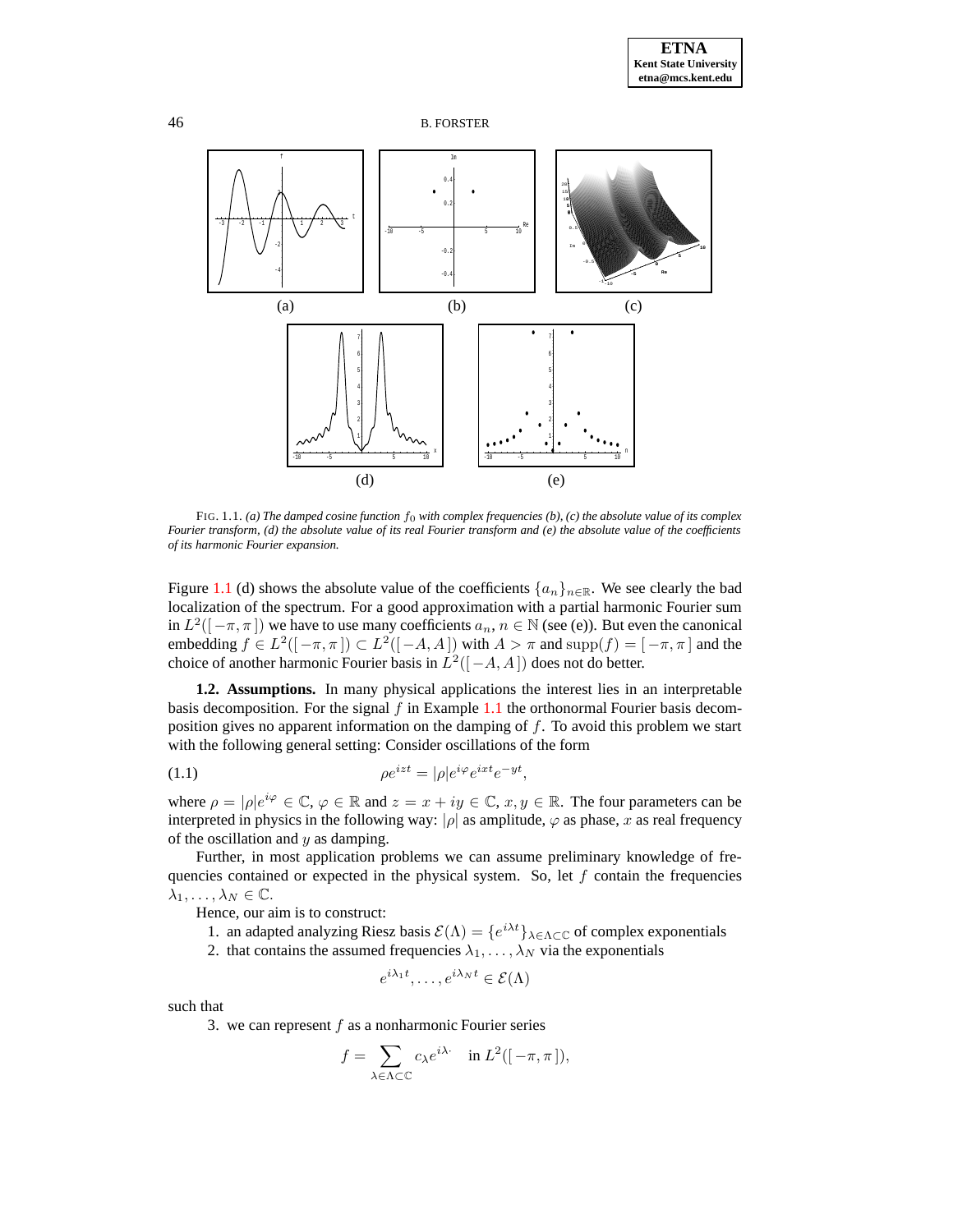

FIG. 1.1. *(a) The damped cosine function* f<sup>0</sup> *with complex frequencies (b), (c) the absolute value of its complex* Fourier transform, (d) the absolute value of its real Fourier transform and (e) the absolute value of the coefficients *of its harmonic Fourier expansion.*

Figure [1.1](#page-9-0) (d) shows the absolute value of the coefficients  $\{a_n\}_{n\in\mathbb{R}}$ . We see clearly the bad localization of the spectrum. For a good approximation with a partial harmonic Fourier sum in  $L^2([-\pi,\pi])$  we have to use many coefficients  $a_n, n \in \mathbb{N}$  (see (e)). But even the canonical embedding  $f \in L^2([-\pi,\pi]) \subset L^2([-\mathcal{A},\mathcal{A}])$  with  $\mathcal{A} > \pi$  and  $\text{supp}(f) = [-\pi,\pi]$  and the choice of another harmonic Fourier basis in  $L^2([-A, A])$  does not do better.

<span id="page-1-0"></span>**1.2. Assumptions.** In many physical applications the interest lies in an interpretable basis decomposition. For the signal  $f$  in Example [1.1](#page-0-0) the orthonormal Fourier basis decomposition gives no apparent information on the damping of  $f$ . To avoid this problem we start with the following general setting: Consider oscillations of the form

$$
(1.1)\qquad \qquad \rho e^{izt} = |\rho|e^{i\varphi}e^{ixt}e^{-yt},
$$

where  $\rho = |\rho|e^{i\varphi} \in \mathbb{C}, \varphi \in \mathbb{R}$  and  $z = x + iy \in \mathbb{C}, x, y \in \mathbb{R}$ . The four parameters can be interpreted in physics in the following way:  $|\rho|$  as amplitude,  $\varphi$  as phase, x as real frequency of the oscillation and  $y$  as damping.

Further, in most application problems we can assume preliminary knowledge of frequencies contained or expected in the physical system. So, let  $f$  contain the frequencies  $\lambda_1, \ldots, \lambda_N \in \mathbb{C}.$ 

Hence, our aim is to construct:

1. an adapted analyzing Riesz basis  $\mathcal{E}(\Lambda) = \{e^{i\lambda t}\}_{\lambda \in \Lambda \subset \mathbb{C}}$  of complex exponentials

2. that contains the assumed frequencies  $\lambda_1, \dots, \lambda_N$  via the exponentials

$$
e^{i\lambda_1 t}, \dots, e^{i\lambda_N t} \in \mathcal{E}(\Lambda)
$$

such that

3. we can represent  $f$  as a nonharmonic Fourier series

$$
f = \sum_{\lambda \in \Lambda \subset \mathbb{C}} c_{\lambda} e^{i\lambda} \quad \text{in } L^2([-\pi, \pi]),
$$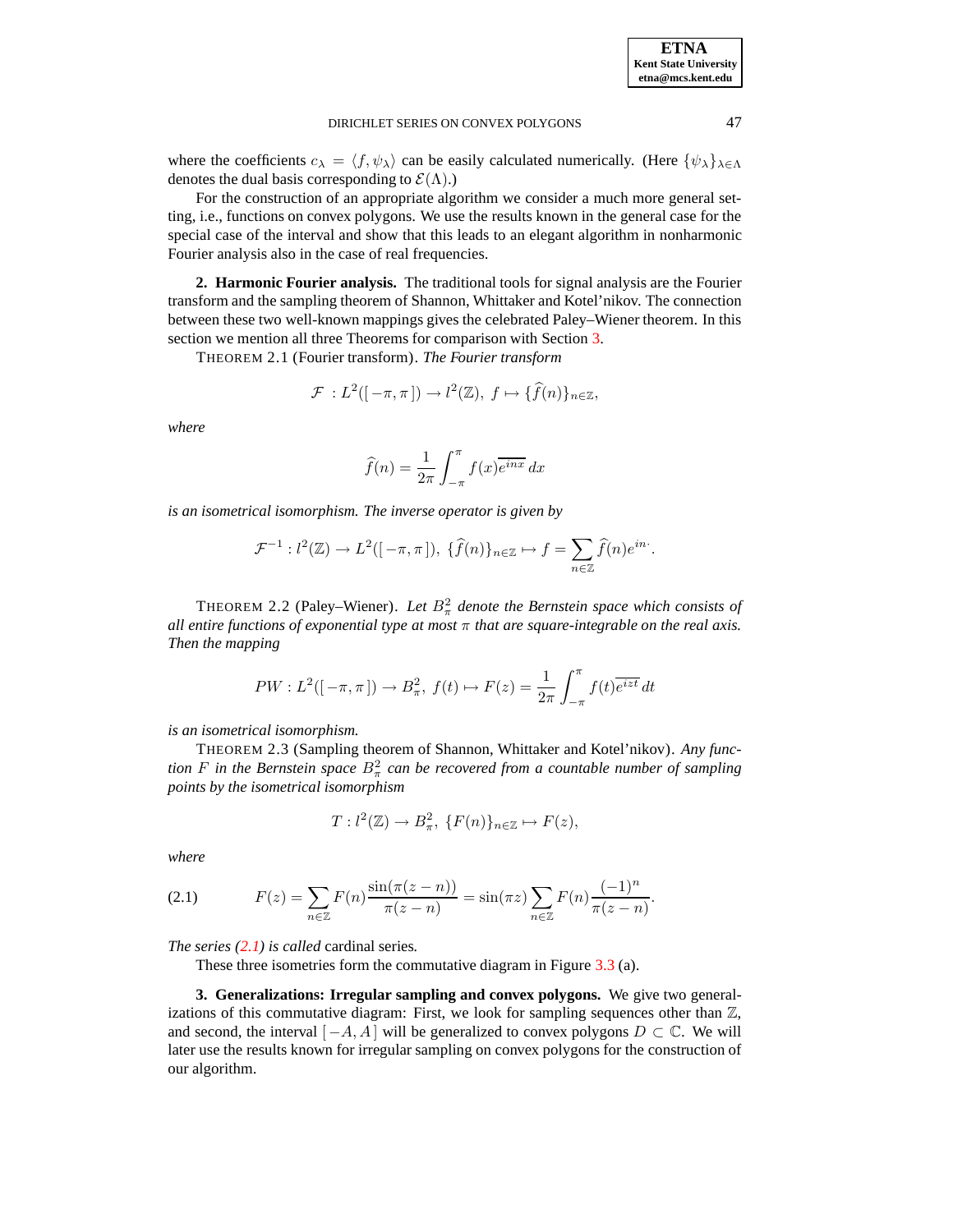.

### DIRICHLET SERIES ON CONVEX POLYGONS 47

where the coefficients  $c_{\lambda} = \langle f, \psi_{\lambda} \rangle$  can be easily calculated numerically. (Here  $\{\psi_{\lambda}\}_{\lambda \in \Lambda}$ denotes the dual basis corresponding to  $\mathcal{E}(\Lambda)$ .)

For the construction of an appropriate algorithm we consider a much more general setting, i.e., functions on convex polygons. We use the results known in the general case for the special case of the interval and show that this leads to an elegant algorithm in nonharmonic Fourier analysis also in the case of real frequencies.

<span id="page-2-5"></span><span id="page-2-2"></span>**2. Harmonic Fourier analysis.** The traditional tools for signal analysis are the Fourier transform and the sampling theorem of Shannon, Whittaker and Kotel'nikov. The connection between these two well-known mappings gives the celebrated Paley–Wiener theorem. In this section we mention all three Theorems for comparison with Section [3.](#page-2-0)

THEOREM 2.1 (Fourier transform). *The Fourier transform*

$$
\mathcal{F}: L^2([-\pi,\pi]) \to l^2(\mathbb{Z}),\ f \mapsto \{\widehat{f}(n)\}_{n \in \mathbb{Z}},
$$

*where*

$$
\widehat{f}(n) = \frac{1}{2\pi} \int_{-\pi}^{\pi} f(x) \overline{e^{inx}} \, dx
$$

*is an isometrical isomorphism. The inverse operator is given by*

$$
\mathcal{F}^{-1}: l^2(\mathbb{Z}) \to L^2([-\pi,\pi]), \ \{\widehat{f}(n)\}_{n \in \mathbb{Z}} \mapsto f = \sum_{n \in \mathbb{Z}} \widehat{f}(n)e^{in\cdot}
$$

<span id="page-2-3"></span>**THEOREM 2.2 (Paley–Wiener).** Let  $B_{\pi}^2$  denote the Bernstein space which consists of *all entire functions of exponential type at most* π *that are square-integrable on the real axis. Then the mapping*

$$
PW: L^{2}([-\pi,\pi]) \to B_{\pi}^{2}, \ f(t) \mapsto F(z) = \frac{1}{2\pi} \int_{-\pi}^{\pi} f(t) \overline{e^{izt}} dt
$$

<span id="page-2-4"></span>*is an isometrical isomorphism.*

THEOREM 2.3 (Sampling theorem of Shannon, Whittaker and Kotel'nikov). *Any function*  $F$  *in the Bernstein space*  $B^2_{\pi}$  *can be recovered from a countable number of sampling points by the isometrical isomorphism*

$$
T: l^2(\mathbb{Z}) \to B^2_{\pi}, \{F(n)\}_{n \in \mathbb{Z}} \mapsto F(z),
$$

*where*

<span id="page-2-1"></span>(2.1) 
$$
F(z) = \sum_{n \in \mathbb{Z}} F(n) \frac{\sin(\pi(z - n))}{\pi(z - n)} = \sin(\pi z) \sum_{n \in \mathbb{Z}} F(n) \frac{(-1)^n}{\pi(z - n)}.
$$

*The series [\(2.1\)](#page-2-1) is called* cardinal series*.*

These three isometries form the commutative diagram in Figure [3.3](#page-6-0) (a).

<span id="page-2-0"></span>**3. Generalizations: Irregular sampling and convex polygons.** We give two generalizations of this commutative diagram: First, we look for sampling sequences other than  $\mathbb{Z}$ , and second, the interval  $[-A, A]$  will be generalized to convex polygons  $D \subset \mathbb{C}$ . We will later use the results known for irregular sampling on convex polygons for the construction of our algorithm.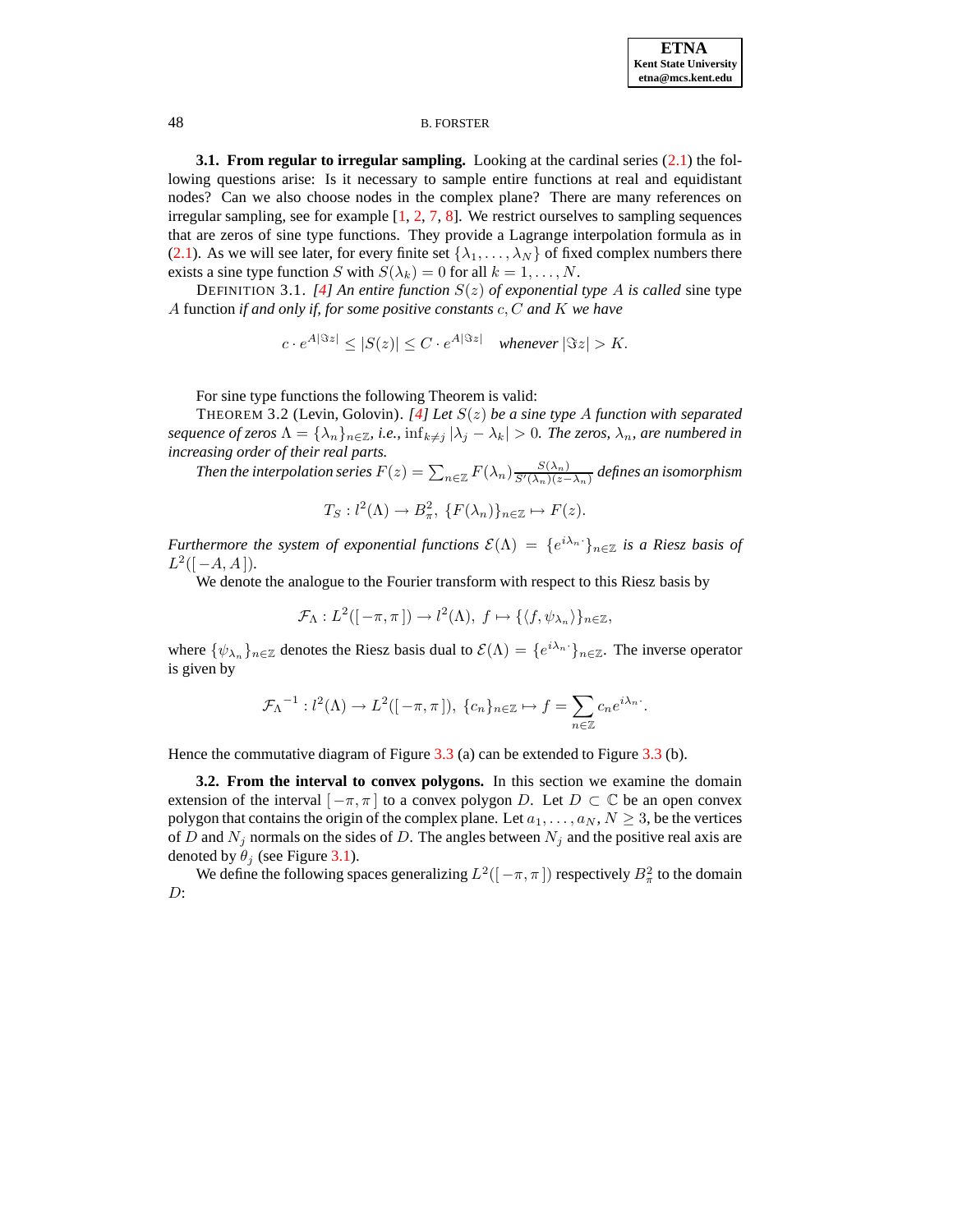<span id="page-3-1"></span>**3.1. From regular to irregular sampling.** Looking at the cardinal series [\(2.1\)](#page-2-1) the following questions arise: Is it necessary to sample entire functions at real and equidistant nodes? Can we also choose nodes in the complex plane? There are many references on irregular sampling, see for example  $[1, 2, 7, 8]$  $[1, 2, 7, 8]$  $[1, 2, 7, 8]$  $[1, 2, 7, 8]$  $[1, 2, 7, 8]$  $[1, 2, 7, 8]$  $[1, 2, 7, 8]$ . We restrict ourselves to sampling sequences that are zeros of sine type functions. They provide a Lagrange interpolation formula as in [\(2.1\)](#page-2-1). As we will see later, for every finite set  $\{\lambda_1, \dots, \lambda_N\}$  of fixed complex numbers there exists a sine type function S with  $S(\lambda_k) = 0$  for all  $k = 1, ..., N$ .

DEFINITION 3.1. [\[4\]](#page-10-4) An entire function  $S(z)$  of exponential type A is called sine type A function *if and only if, for some positive constants* c, C *and* K *we have*

$$
c \cdot e^{A|\Im z|} \le |S(z)| \le C \cdot e^{A|\Im z|} \quad \text{whenever } |\Im z| > K.
$$

For sine type functions the following Theorem is valid:

<span id="page-3-0"></span>THEOREM 3.2 (Levin, Golovin). *[\[4\]](#page-10-4) Let* S(z) *be a sine type* A *function with separated sequence of zeros*  $\Lambda = {\lambda_n}_{n \in \mathbb{Z}}$ *, i.e.,*  $\inf_{k \neq j} |\lambda_j - \lambda_k| > 0$ *. The zeros,*  $\lambda_n$ *, are numbered in increasing order of their real parts.*

Then the interpolation series  $F(z)=\sum_{n\in\mathbb{Z}}F(\lambda_n)\frac{S(\lambda_n)}{S'(\lambda_n)(z-\lambda_n)}$  defines an isomorphism

$$
T_S: l^2(\Lambda) \to B^2_{\pi}, \{F(\lambda_n)\}_{n \in \mathbb{Z}} \mapsto F(z).
$$

*Furthermore the system of exponential functions*  $\mathcal{E}(\Lambda) = \{e^{i\lambda_n}\}_{{n \in \mathbb{Z}}}$  *is a Riesz basis of*  $L^2([-A, A]).$ 

We denote the analogue to the Fourier transform with respect to this Riesz basis by

$$
\mathcal{F}_{\Lambda}: L^2([-\pi,\pi]) \to l^2(\Lambda), f \mapsto {\{\langle f,\psi_{\lambda_n}\rangle\}_{n \in \mathbb{Z}}},
$$

where  $\{\psi_{\lambda_n}\}_{n\in\mathbb{Z}}$  denotes the Riesz basis dual to  $\mathcal{E}(\Lambda) = \{e^{i\lambda_n}\}_{n\in\mathbb{Z}}$ . The inverse operator is given by

$$
\mathcal{F}_{\Lambda}^{-1}:l^2(\Lambda)\to L^2([-\pi,\pi]),\;\{c_n\}_{n\in\mathbb{Z}}\mapsto f=\sum_{n\in\mathbb{Z}}c_ne^{i\lambda_n}.
$$

<span id="page-3-2"></span>Hence the commutative diagram of Figure [3.3](#page-6-0) (a) can be extended to Figure [3.3](#page-6-0) (b).

**3.2. From the interval to convex polygons.** In this section we examine the domain extension of the interval  $[-\pi, \pi]$  to a convex polygon D. Let  $D \subset \mathbb{C}$  be an open convex polygon that contains the origin of the complex plane. Let  $a_1, \ldots, a_N, N \geq 3$ , be the vertices of D and  $N_j$  normals on the sides of D. The angles between  $N_j$  and the positive real axis are denoted by  $\theta_j$  (see Figure [3.1\)](#page-9-0).

We define the following spaces generalizing  $L^2([-\pi,\pi])$  respectively  $B^2_{\pi}$  to the domain D: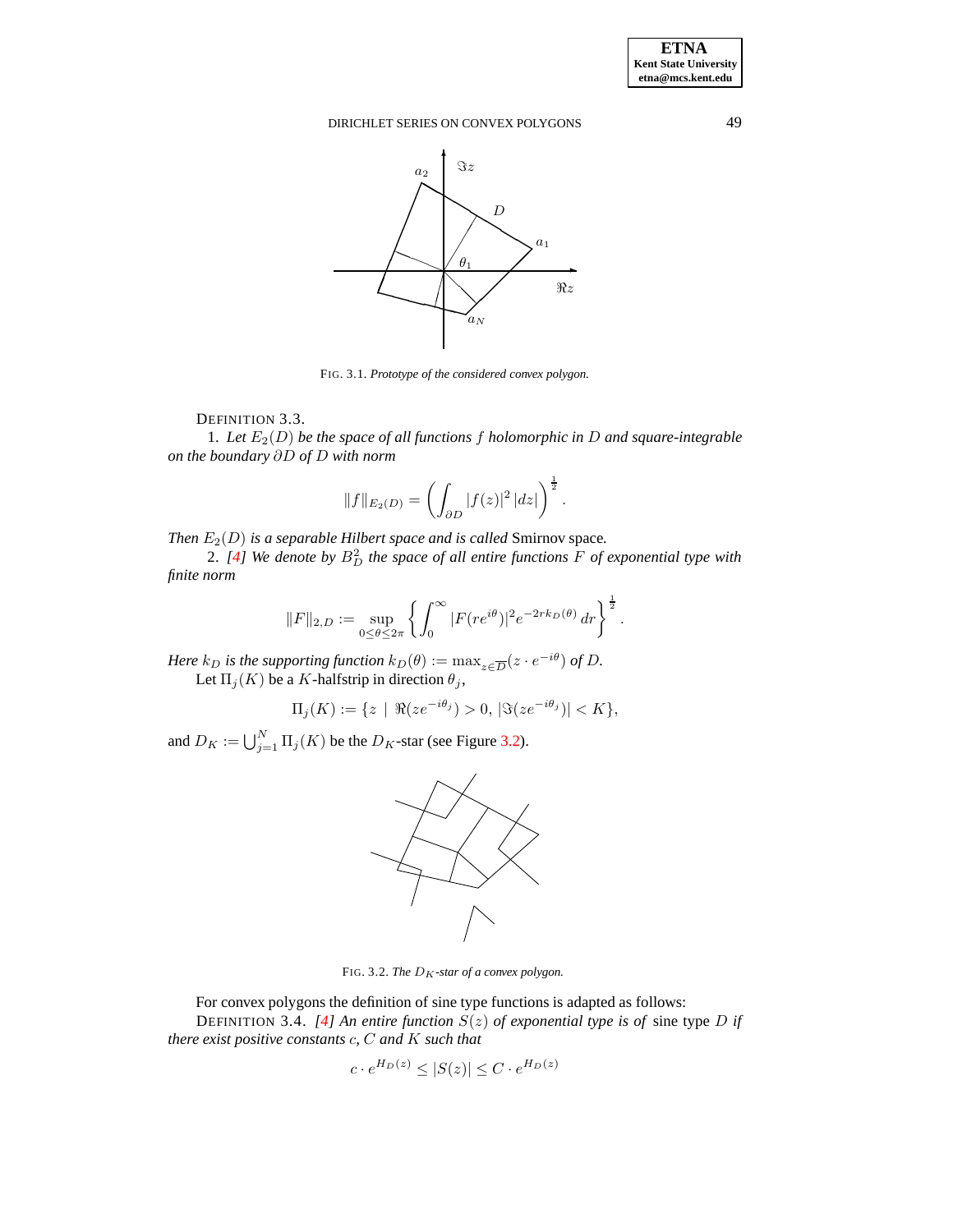

FIG. 3.1. *Prototype of the considered convex polygon.*

DEFINITION 3.3.

1. Let  $E_2(D)$  be the space of all functions f holomorphic in D and square-integrable *on the boundary* ∂D *of* D *with norm*

$$
||f||_{E_2(D)} = \left(\int_{\partial D} |f(z)|^2 |dz|\right)^{\frac{1}{2}}.
$$

*Then*  $E_2(D)$  *is a separable Hilbert space and is called* Smirnov space.

2. *[\[4\]](#page-10-4) We denote by* B<sup>2</sup> <sup>D</sup> *the space of all entire functions* F *of exponential type with finite norm*

$$
||F||_{2,D} := \sup_{0 \le \theta \le 2\pi} \left\{ \int_0^\infty |F(re^{i\theta})|^2 e^{-2rk_D(\theta)} dr \right\}^{\frac{1}{2}}.
$$

*Here*  $k_D$  *is the supporting function*  $k_D(\theta) := \max_{z \in \overline{D}} (z \cdot e^{-i\theta})$  *of* D. Let  $\Pi_j(K)$  be a K-halfstrip in direction  $\theta_j$ ,

$$
\Pi_j(K) := \{ z \mid \Re(ze^{-i\theta_j}) > 0, \, |\Im(ze^{-i\theta_j})| < K \},
$$

and  $D_K := \bigcup_{j=1}^N \Pi_j(K)$  be the  $D_K$ -star (see Figure [3.2\)](#page-4-0).



<span id="page-4-0"></span>FIG. 3.2. The  $D_K$ -star of a convex polygon.

For convex polygons the definition of sine type functions is adapted as follows: DEFINITION 3.4. [\[4\]](#page-10-4) An entire function  $S(z)$  of exponential type is of sine type D if *there exist positive constants* c*,* C *and* K *such that*

$$
c \cdot e^{H_D(z)} \le |S(z)| \le C \cdot e^{H_D(z)}
$$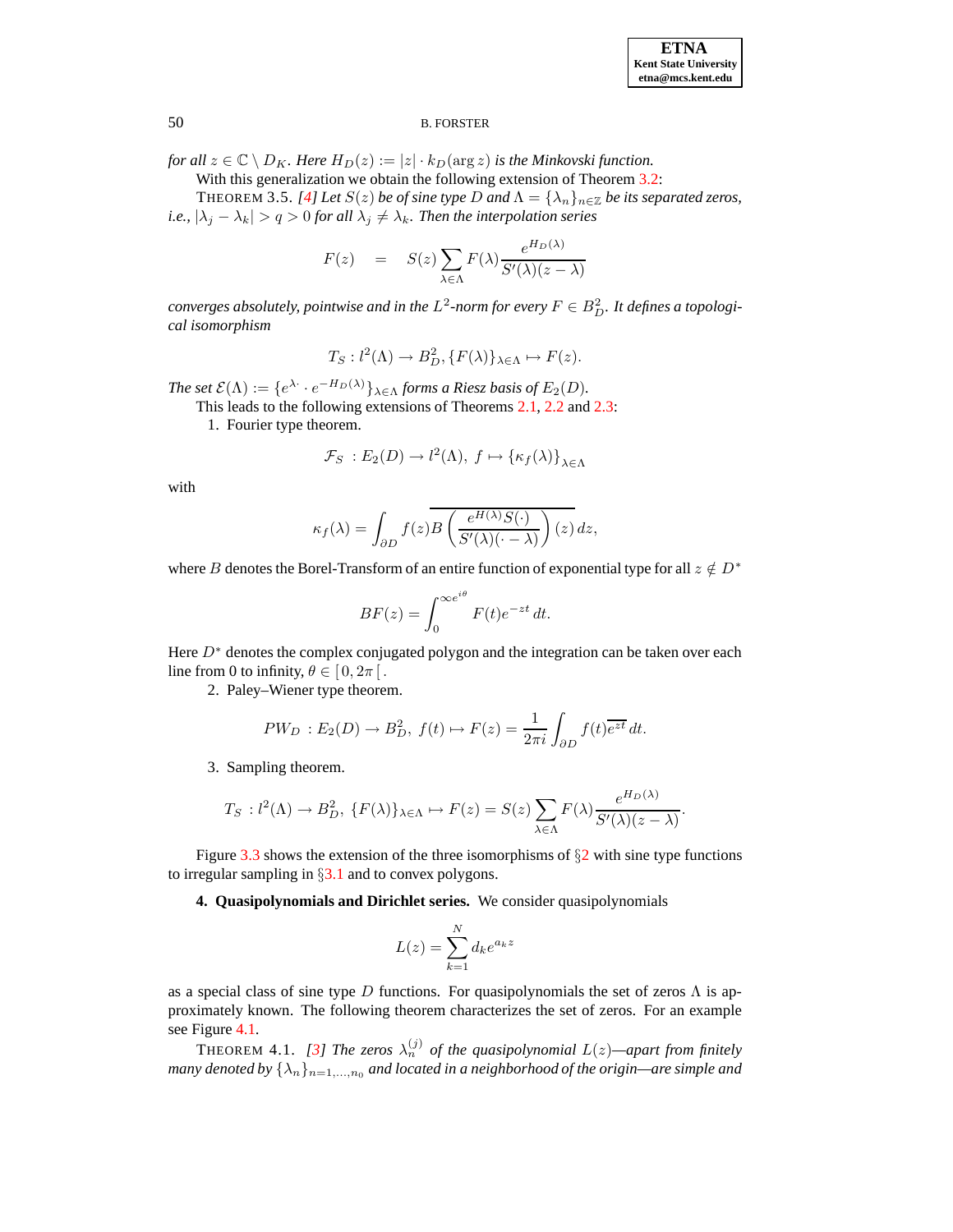*for all*  $z \in \mathbb{C} \setminus D_K$ . Here  $H_D(z) := |z| \cdot k_D(\arg z)$  *is the Minkovski function.* 

With this generalization we obtain the following extension of Theorem [3.2:](#page-3-0)

THEOREM 3.5. *[\[4\]](#page-10-4) Let*  $S(z)$  *be of sine type D* and  $\Lambda = {\lambda_n}_{n \in \mathbb{Z}}$  *be its separated zeros, i.e.,*  $|\lambda_j - \lambda_k| > q > 0$  *for all*  $\lambda_j \neq \lambda_k$ *. Then the interpolation series* 

$$
F(z) = S(z) \sum_{\lambda \in \Lambda} F(\lambda) \frac{e^{H_D(\lambda)}}{S'(\lambda)(z - \lambda)}
$$

*converges absolutely, pointwise and in the*  $L^2$ *-norm for every*  $F \in B_D^2$ *. It defines a topological isomorphism*

$$
T_S: l^2(\Lambda) \to B_D^2, \{F(\lambda)\}_{\lambda \in \Lambda} \mapsto F(z).
$$

*The set*  $\mathcal{E}(\Lambda) := \{e^{\lambda \cdot \cdot} e^{-H_D(\lambda)}\}_{\lambda \in \Lambda}$  *forms a Riesz basis of*  $E_2(D)$ *.* 

This leads to the following extensions of Theorems [2.1,](#page-2-2) [2.2](#page-2-3) and [2.3:](#page-2-4)

1. Fourier type theorem.

$$
\mathcal{F}_S : E_2(D) \to l^2(\Lambda), \ f \mapsto \{\kappa_f(\lambda)\}_{\lambda \in \Lambda}
$$

with

$$
\kappa_f(\lambda) = \int_{\partial D} f(z) \overline{B\left(\frac{e^{H(\lambda)}S(\cdot)}{S'(\lambda)(\cdot - \lambda)}\right)(z)} dz,
$$

where B denotes the Borel-Transform of an entire function of exponential type for all  $z \notin D^*$ 

$$
BF(z) = \int_0^{\infty e^{i\theta}} F(t)e^{-zt} dt.
$$

Here  $D^*$  denotes the complex conjugated polygon and the integration can be taken over each line from 0 to infinity,  $\theta \in [0, 2\pi]$ .

2. Paley–Wiener type theorem.

$$
PW_D : E_2(D) \to B_D^2, \ f(t) \mapsto F(z) = \frac{1}{2\pi i} \int_{\partial D} f(t) \overline{e^{zt}} \, dt.
$$

3. Sampling theorem.

$$
T_S: l^2(\Lambda) \to B_D^2, \{F(\lambda)\}_{\lambda \in \Lambda} \mapsto F(z) = S(z) \sum_{\lambda \in \Lambda} F(\lambda) \frac{e^{H_D(\lambda)}}{S'(\lambda)(z - \lambda)}.
$$

Figure [3.3](#page-6-0) shows the extension of the three isomorphisms of  $\S2$  $\S2$  with sine type functions to irregular sampling in  $\S 3.1$  $\S 3.1$  and to convex polygons.

**4. Quasipolynomials and Dirichlet series.** We consider quasipolynomials

$$
L(z) = \sum_{k=1}^{N} d_k e^{a_k z}
$$

as a special class of sine type D functions. For quasipolynomials the set of zeros  $\Lambda$  is approximately known. The following theorem characterizes the set of zeros. For an example see Figure [4.1.](#page-9-0)

<span id="page-5-0"></span>**THEOREM 4.1.** [\[3\]](#page-10-5) The zeros  $\lambda_n^{(j)}$  of the quasipolynomial  $L(z)$ —apart from finitely *many denoted* by  $\{\lambda_n\}_{n=1,\dots,n_0}$  *and located in a neighborhood of the origin—are simple and*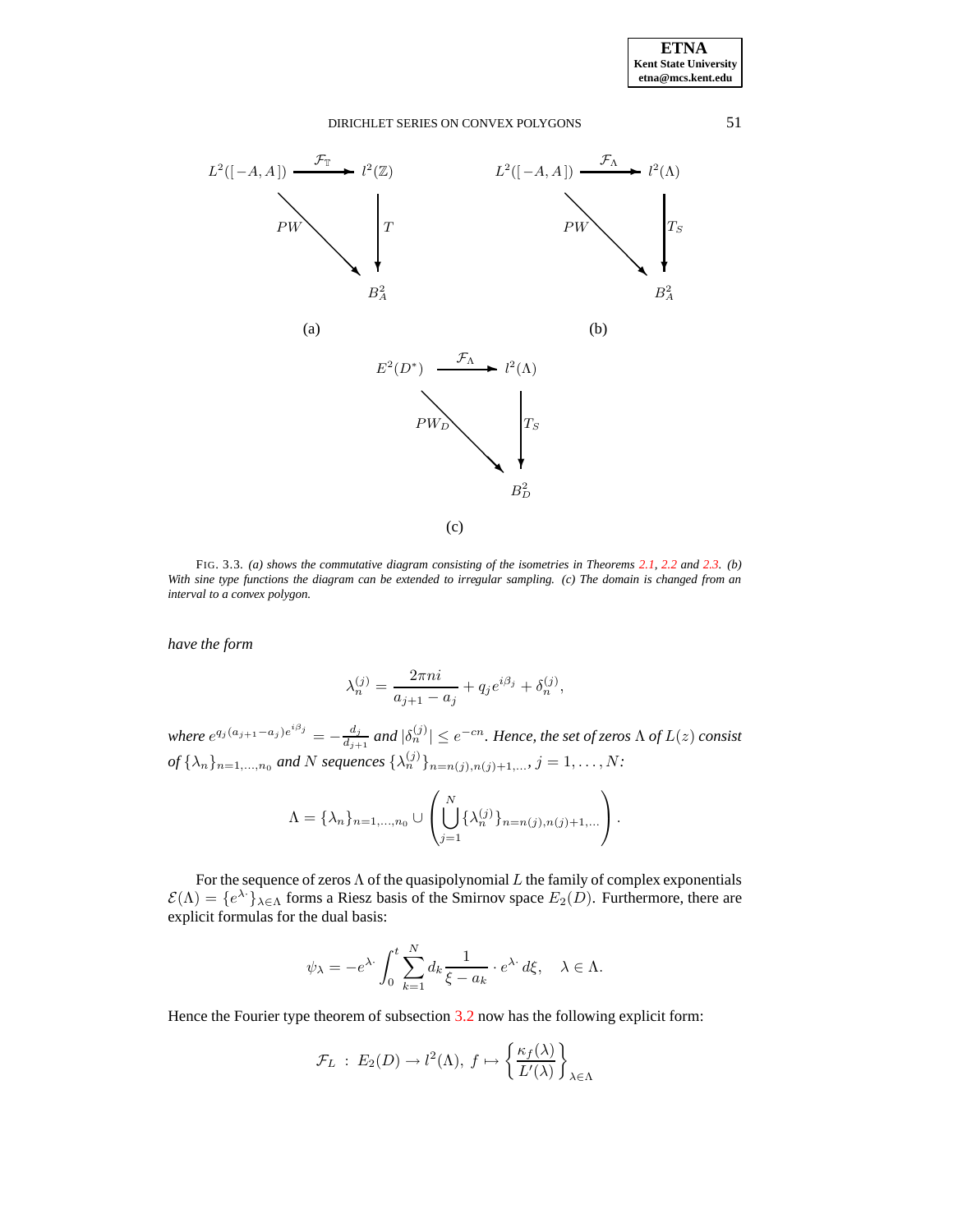



<span id="page-6-0"></span>FIG. 3.3. *(a) shows the commutative diagram consisting of the isometries in Theorems [2.1,](#page-2-2) [2.2](#page-2-3) and [2.3.](#page-2-4) (b)* With sine type functions the diagram can be extended to irregular sampling. (c) The domain is changed from an *interval to a convex polygon.*

*have the form*

$$
\lambda_n^{(j)} = \frac{2\pi n i}{a_{j+1} - a_j} + q_j e^{i\beta_j} + \delta_n^{(j)},
$$

*where*  $e^{q_j (a_{j+1} - a_j) e^{i \beta_j}} = -\frac{d_j}{d_j}$  $\frac{d_j}{d_{j+1}}$  and  $|\delta_n^{(j)}| \leq e^{-cn}.$  Hence, the set of zeros  $\Lambda$  of  $L(z)$  consist *of*  $\{\lambda_n\}_{n=1,...,n_0}$  *and* N *sequences*  $\{\lambda_n^{(j)}\}_{n=n(j),n(j)+1,...}$ ,  $j = 1,...,N$ :

$$
\Lambda = \{\lambda_n\}_{n=1,...,n_0} \cup \left( \bigcup_{j=1}^N \{\lambda_n^{(j)}\}_{n=n(j),n(j)+1,...} \right).
$$

For the sequence of zeros  $\Lambda$  of the quasipolynomial  $L$  the family of complex exponentials  $\mathcal{E}(\Lambda) = \{e^{\lambda} \cdot \}_{\lambda \in \Lambda}$  forms a Riesz basis of the Smirnov space  $E_2(D)$ . Furthermore, there are explicit formulas for the dual basis:

$$
\psi_{\lambda} = -e^{\lambda \cdot} \int_0^t \sum_{k=1}^N d_k \frac{1}{\xi - a_k} \cdot e^{\lambda \cdot} d\xi, \quad \lambda \in \Lambda.
$$

Hence the Fourier type theorem of subsection [3.2](#page-3-2) now has the following explicit form:

$$
\mathcal{F}_L : E_2(D) \to l^2(\Lambda), f \mapsto \left\{ \frac{\kappa_f(\lambda)}{L'(\lambda)} \right\}_{\lambda \in \Lambda}
$$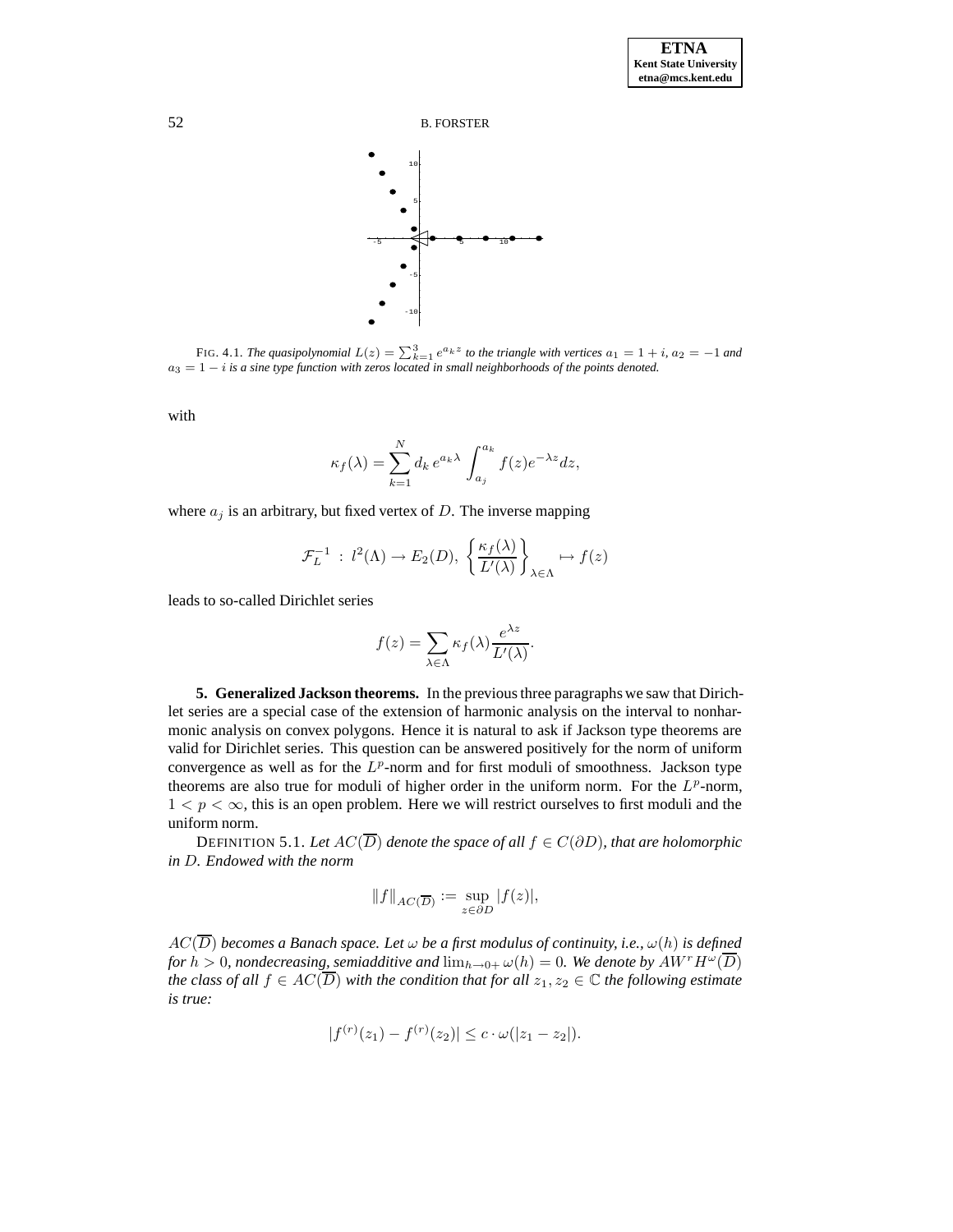

FIG. 4.1. *The quasipolynomial*  $L(z) = \sum_{k=1}^{3} e^{a_k z}$  to the triangle with vertices  $a_1 = 1 + i$ ,  $a_2 = -1$  and a<sup>3</sup> = 1 − i *is a sine type function with zeros located in small neighborhoods of the points denoted.*

with

$$
\kappa_f(\lambda) = \sum_{k=1}^N d_k \, e^{a_k \lambda} \, \int_{a_j}^{a_k} f(z) e^{-\lambda z} dz,
$$

where  $a_j$  is an arbitrary, but fixed vertex of D. The inverse mapping

$$
\mathcal{F}_L^{-1} : l^2(\Lambda) \to E_2(D), \left\{ \frac{\kappa_f(\lambda)}{L'(\lambda)} \right\}_{\lambda \in \Lambda} \mapsto f(z)
$$

leads to so-called Dirichlet series

$$
f(z) = \sum_{\lambda \in \Lambda} \kappa_f(\lambda) \frac{e^{\lambda z}}{L'(\lambda)}.
$$

**5. Generalized Jackson theorems.** In the previousthree paragraphs we saw that Dirichlet series are a special case of the extension of harmonic analysis on the interval to nonharmonic analysis on convex polygons. Hence it is natural to ask if Jackson type theorems are valid for Dirichlet series. This question can be answered positively for the norm of uniform convergence as well as for the  $L^p$ -norm and for first moduli of smoothness. Jackson type theorems are also true for moduli of higher order in the uniform norm. For the  $L^p$ -norm,  $1 < p < \infty$ , this is an open problem. Here we will restrict ourselves to first moduli and the uniform norm.

DEFINITION 5.1. Let  $AC(\overline{D})$  denote the space of all  $f \in C(\partial D)$ , that are holomorphic *in* D*. Endowed with the norm*

$$
||f||_{AC(\overline{D})} := \sup_{z \in \partial D} |f(z)|,
$$

 $AC(\overline{D})$  *becomes a Banach space. Let*  $\omega$  *be a first modulus of continuity, i.e.,*  $\omega(h)$  *is defined for*  $h > 0$ , *nondecreasing, semiadditive and*  $\lim_{h \to 0+} \omega(h) = 0$ *. We denote by*  $AW^rH^\omega(\overline{D})$ *the* class of all  $f \in AC(\overline{D})$  *with the condition that for all*  $z_1, z_2 \in \mathbb{C}$  *the following estimate is true:*

$$
|f^{(r)}(z_1) - f^{(r)}(z_2)| \le c \cdot \omega(|z_1 - z_2|).
$$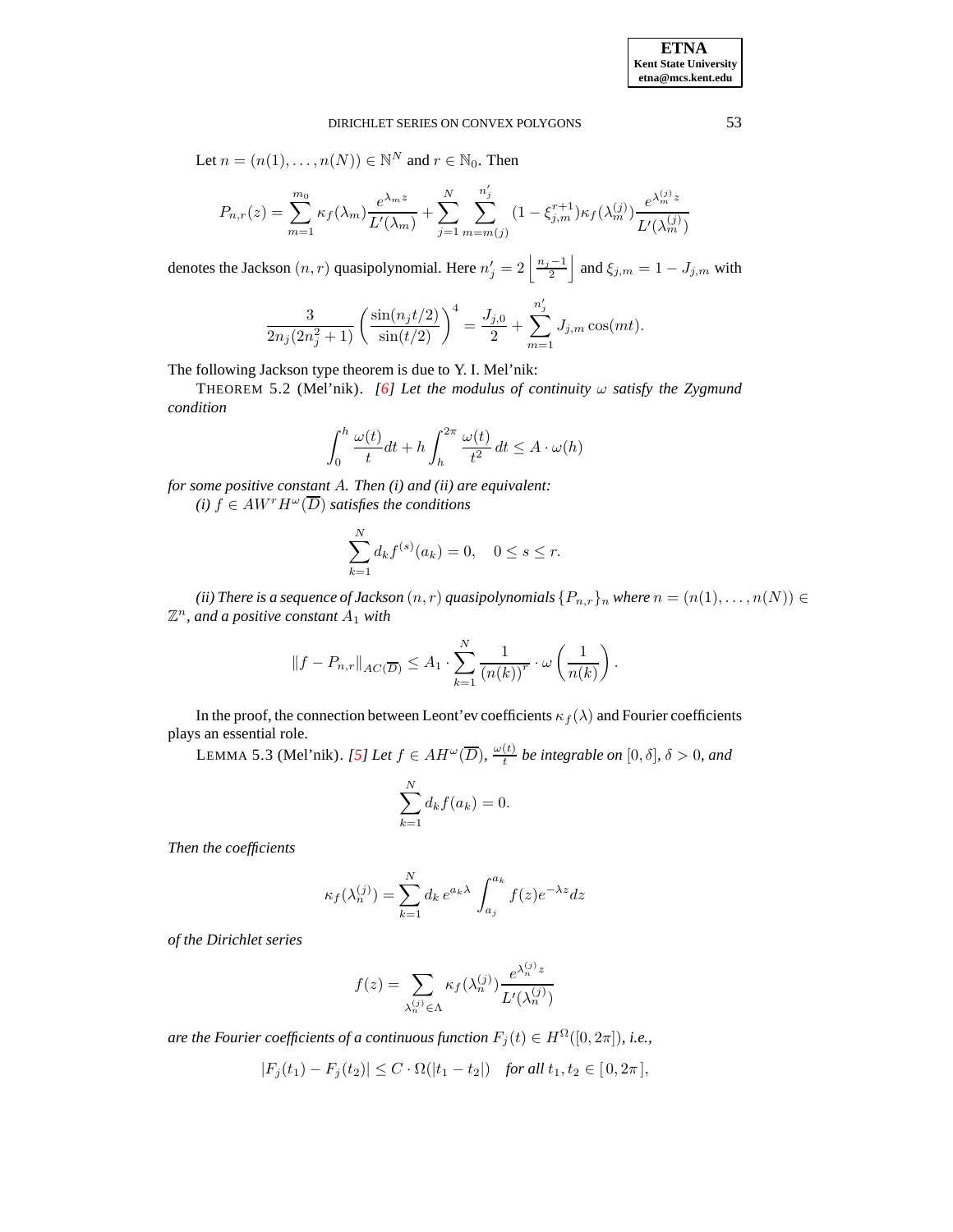Let 
$$
n = (n(1), \ldots, n(N)) \in \mathbb{N}^N
$$
 and  $r \in \mathbb{N}_0$ . Then

$$
P_{n,r}(z) = \sum_{m=1}^{m_0} \kappa_f(\lambda_m) \frac{e^{\lambda_m z}}{L'(\lambda_m)} + \sum_{j=1}^{N} \sum_{m=m(j)}^{n'_j} (1 - \xi_{j,m}^{r+1}) \kappa_f(\lambda_m^{(j)}) \frac{e^{\lambda_m^{(j)} z}}{L'(\lambda_m^{(j)})}
$$

denotes the Jackson  $(n, r)$  quasipolynomial. Here  $n'_j = 2 \left\lfloor \frac{n_j - 1}{2} \right\rfloor$ 2  $\left| \right.$  and  $\xi_{j,m} = 1 - J_{j,m}$  with

$$
\frac{3}{2n_j(2n_j^2+1)} \left( \frac{\sin(n_j t/2)}{\sin(t/2)} \right)^4 = \frac{J_{j,0}}{2} + \sum_{m=1}^{n'_j} J_{j,m} \cos(mt).
$$

The following Jackson type theorem is due to Y. I. Mel'nik:

THEOREM 5.2 (Mel'nik). *[\[6\]](#page-10-6) Let the modulus of continuity*  $\omega$  *satisfy the Zygmund condition*

$$
\int_0^h \frac{\omega(t)}{t} dt + h \int_h^{2\pi} \frac{\omega(t)}{t^2} dt \le A \cdot \omega(h)
$$

*for some positive constant* A*. Then (i) and (ii) are equivalent: (i)*  $\hat{f}$  ∈  $AW^rH^\omega(\overline{D})$  *satisfies the conditions* 

$$
\sum_{k=1}^{N} d_k f^{(s)}(a_k) = 0, \quad 0 \le s \le r.
$$

*(ii) There is a sequence of Jackson*  $(n, r)$  *quasipolynomials*  $\{P_{n,r}\}_n$  *where*  $n = (n(1), \ldots, n(N)) \in$  $\mathbb{Z}^n$ , and a positive constant  $A_1$  with

$$
||f - P_{n,r}||_{AC(\overline{D})} \leq A_1 \cdot \sum_{k=1}^N \frac{1}{(n(k))^r} \cdot \omega\left(\frac{1}{n(k)}\right).
$$

In the proof, the connection between Leont'ev coefficients  $\kappa_f(\lambda)$  and Fourier coefficients plays an essential role.

LEMMA 5.3 (Mel'nik). *[\[5\]](#page-10-7) Let*  $f \in AH^{\omega}(\overline{D})$ ,  $\frac{\omega(t)}{t}$  $\frac{\partial f(t)}{\partial t}$  *be integrable on*  $[0, \delta]$ *,*  $\delta > 0$ *, and* 

$$
\sum_{k=1}^{N} d_k f(a_k) = 0.
$$

*Then the coefficients*

$$
\kappa_f(\lambda_n^{(j)}) = \sum_{k=1}^N d_k e^{a_k \lambda} \int_{a_j}^{a_k} f(z) e^{-\lambda z} dz
$$

*of the Dirichlet series*

$$
f(z) = \sum_{\lambda_n^{(j)} \in \Lambda} \kappa_f(\lambda_n^{(j)}) \frac{e^{\lambda_n^{(j)} z}}{L'(\lambda_n^{(j)})}
$$

*are the Fourier coefficients of a continuous function*  $F_i(t) \in H^{\Omega}([0, 2\pi])$ *, i.e.,* 

$$
|F_j(t_1) - F_j(t_2)| \le C \cdot \Omega(|t_1 - t_2|) \quad \text{for all } t_1, t_2 \in [0, 2\pi],
$$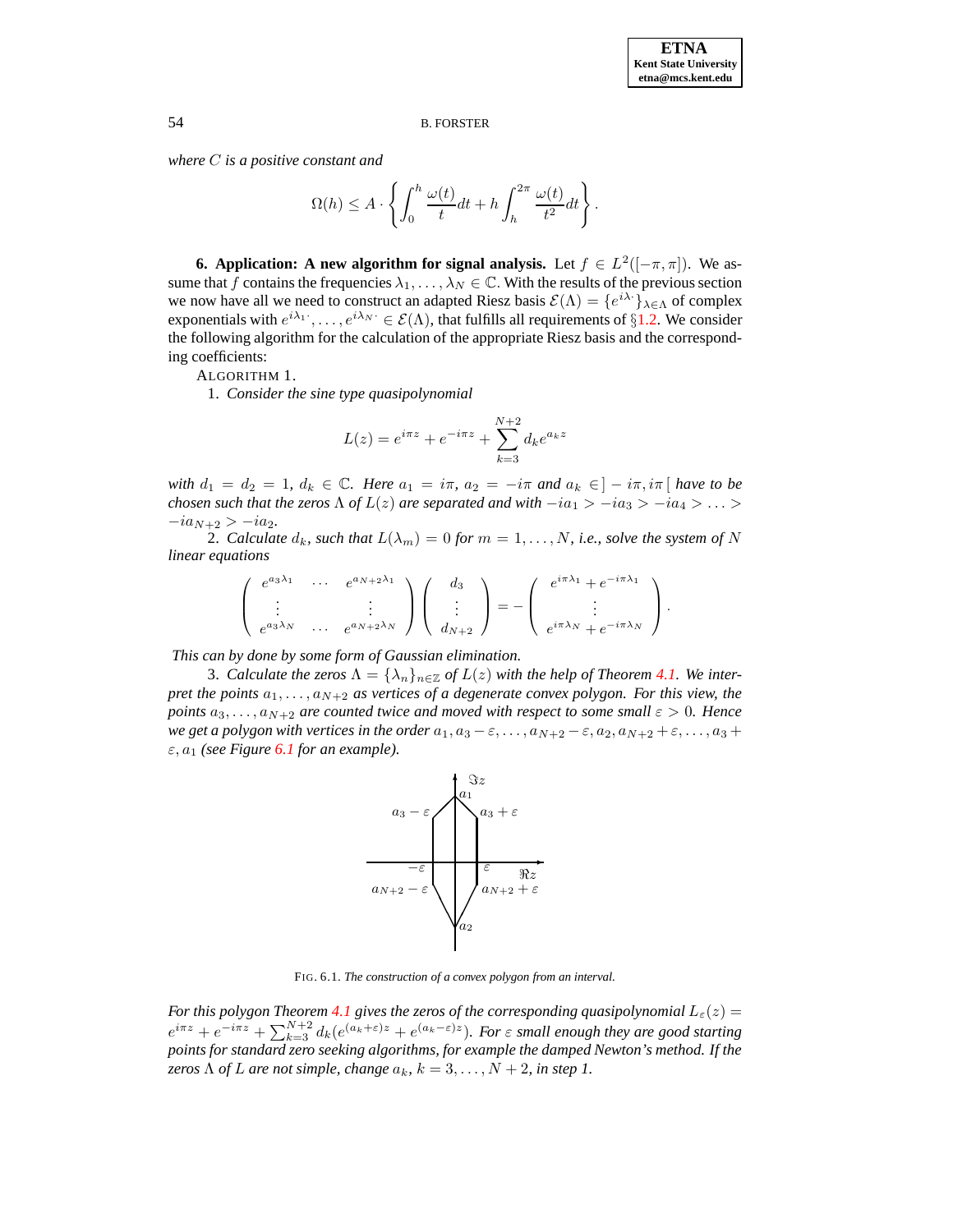*where* C *is a positive constant and*

$$
\Omega(h) \le A \cdot \left\{ \int_0^h \frac{\omega(t)}{t} dt + h \int_h^{2\pi} \frac{\omega(t)}{t^2} dt \right\}.
$$

**6. Application: A** new algorithm for signal analysis. Let  $f \in L^2([-\pi,\pi])$ . We assume that f contains the frequencies  $\lambda_1, \ldots, \lambda_N \in \mathbb{C}$ . With the results of the previous section we now have all we need to construct an adapted Riesz basis  $\mathcal{E}(\Lambda) = \{e^{i\lambda \cdot}\}\lambda \in \Lambda$  of complex exponentials with  $e^{i\lambda_1}\cdot,\ldots,e^{i\lambda_N}\cdot\in\mathcal{E}(\Lambda)$ , that fulfills all requirements of  $\S1.2$ . We consider the following algorithm for the calculation of the appropriate Riesz basis and the corresponding coefficients:

ALGORITHM 1.

1. *Consider the sine type quasipolynomial*

$$
L(z) = e^{i\pi z} + e^{-i\pi z} + \sum_{k=3}^{N+2} d_k e^{a_k z}
$$

*with*  $d_1 = d_2 = 1$ ,  $d_k \in \mathbb{C}$ *. Here*  $a_1 = i\pi$ ,  $a_2 = -i\pi$  *and*  $a_k \in ]-\overline{i}\pi, i\pi[$  *have* to be *chosen such that the zeros*  $\Lambda$  *of*  $L(z)$  *are separated and with*  $-i\alpha_1 > -i\alpha_3 > -i\alpha_4 > ... >$  $-i a_{N+2} > -i a_2.$ 

2. *Calculate*  $d_k$ *, such that*  $L(\lambda_m) = 0$  *for*  $m = 1, \ldots, N$ *, i.e., solve the system of* N *linear equations*

$$
\begin{pmatrix} e^{a_3\lambda_1} & \cdots & e^{a_N+2\lambda_1} \\ \vdots & & \vdots \\ e^{a_3\lambda_N} & \cdots & e^{a_N+2\lambda_N} \end{pmatrix} \begin{pmatrix} d_3 \\ \vdots \\ d_{N+2} \end{pmatrix} = - \begin{pmatrix} e^{i\pi\lambda_1} + e^{-i\pi\lambda_1} \\ \vdots \\ e^{i\pi\lambda_N} + e^{-i\pi\lambda_N} \end{pmatrix}.
$$

*This can by done by some form of Gaussian elimination.*

3. *Calculate the zeros*  $\Lambda = {\lambda_n}_{n \in \mathbb{Z}}$  *of*  $L(z)$  *with the help of Theorem [4.1.](#page-5-0) We interpret the points*  $a_1, \ldots, a_{N+2}$  *as vertices of a degenerate convex polygon. For this view, the points*  $a_3, \ldots, a_{N+2}$  *are counted twice and moved with respect to some small*  $\varepsilon > 0$ *. Hence we* get a polygon with vertices in the order  $a_1, a_3 - \varepsilon, \ldots, a_{N+2} - \varepsilon, a_2, a_{N+2} + \varepsilon, \ldots, a_3 + \varepsilon$  $\varepsilon$ ,  $a_1$  *(see Figure [6.1](#page-9-0) for an example).* 



<span id="page-9-0"></span>FIG. 6.1. *The construction of a convex polygon from an interval.*

*For this polygon Theorem* [4.1](#page-5-0) *gives the zeros of the corresponding quasipolynomial*  $L_{\varepsilon}(z)$  =  $e^{i\pi z} + e^{-i\pi z} + \sum_{k=3}^{N+2} d_k (e^{(a_k+\varepsilon)z} + e^{(a_k-\varepsilon)z})$ . For  $\varepsilon$  small enough they are good starting *points for standard zero seeking algorithms, for example the damped Newton's method. If the zeros*  $\Lambda$  *of*  $L$  *are not simple, change*  $a_k$ *,*  $k = 3, ..., N + 2$ *, in step* 1.